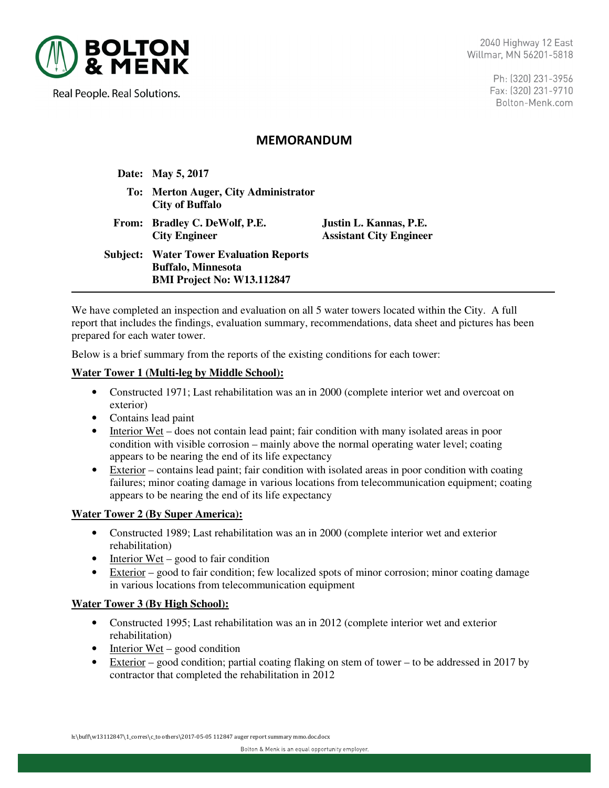

Real People. Real Solutions.

Ph: (320) 231-3956 Fax: (320) 231-9710 Bolton-Menk.com

# MEMORANDUM

 **Date: May 5, 2017**

- **To: Merton Auger, City Administrator City of Buffalo**
- **From: Bradley C. DeWolf, P.E. Justin L. Kannas, P.E. City Engineer Assistant City Engineer**

**Subject: Water Tower Evaluation Reports Buffalo, Minnesota BMI Project No: W13.112847** 

We have completed an inspection and evaluation on all 5 water towers located within the City. A full report that includes the findings, evaluation summary, recommendations, data sheet and pictures has been prepared for each water tower.

Below is a brief summary from the reports of the existing conditions for each tower:

#### **Water Tower 1 (Multi-leg by Middle School):**

- Constructed 1971; Last rehabilitation was an in 2000 (complete interior wet and overcoat on exterior)
- Contains lead paint
- Interior Wet does not contain lead paint; fair condition with many isolated areas in poor condition with visible corrosion – mainly above the normal operating water level; coating appears to be nearing the end of its life expectancy
- Exterior contains lead paint; fair condition with isolated areas in poor condition with coating failures; minor coating damage in various locations from telecommunication equipment; coating appears to be nearing the end of its life expectancy

## **Water Tower 2 (By Super America):**

- Constructed 1989; Last rehabilitation was an in 2000 (complete interior wet and exterior rehabilitation)
- Interior Wet good to fair condition
- Exterior good to fair condition; few localized spots of minor corrosion; minor coating damage in various locations from telecommunication equipment

#### **Water Tower 3 (By High School):**

- Constructed 1995; Last rehabilitation was an in 2012 (complete interior wet and exterior rehabilitation)
- Interior Wet good condition
- Exterior good condition; partial coating flaking on stem of tower to be addressed in 2017 by contractor that completed the rehabilitation in 2012